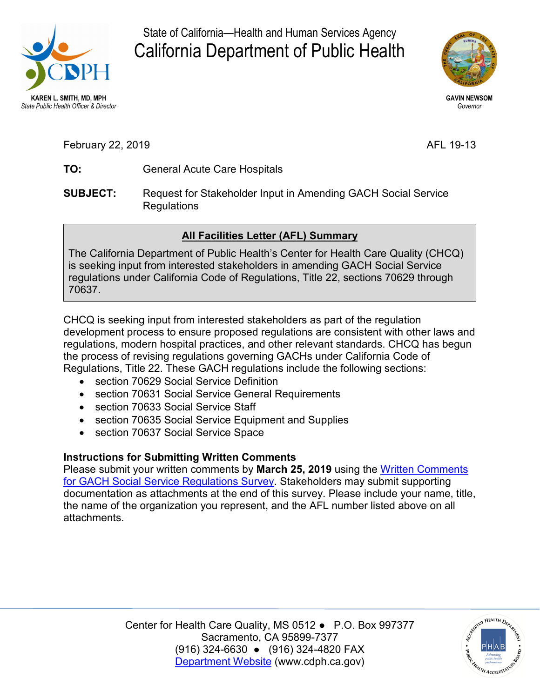

State of California—Health and Human Services Agency California Department of Public Health



**GAVIN NEWSOM**  *Governor* 

February 22, 2019 **AFL 19-13** 

- **TO:** General Acute Care Hospitals
- **SUBJECT:** Request for Stakeholder Input in Amending GACH Social Service Regulations

## **All Facilities Letter (AFL) Summary**

The California Department of Public Health's Center for Health Care Quality (CHCQ) is seeking input from interested stakeholders in amending GACH Social Service regulations under California Code of Regulations, Title 22, sections 70629 through 70637.

 Regulations, Title 22. These GACH regulations include the following sections: CHCQ is seeking input from interested stakeholders as part of the regulation development process to ensure proposed regulations are consistent with other laws and regulations, modern hospital practices, and other relevant standards. CHCQ has begun the process of revising regulations governing GACHs under California Code of

- section 70629 Social Service Definition
- section 70631 Social Service General Requirements
- section 70633 Social Service Staff
- section 70635 Social Service Equipment and Supplies
- section 70637 Social Service Space

## **Instructions for Submitting Written Comments**

 Please submit your written comments by **March 25, 2019** using the [Written Comments](https://www.surveymonkey.com/r/JTZXG6H)  documentation as attachments at the end of this survey. Please include your name, title, [for GACH Social Service Regulations Survey.](https://www.surveymonkey.com/r/JTZXG6H) Stakeholders may submit supporting the name of the organization you represent, and the AFL number listed above on all attachments.